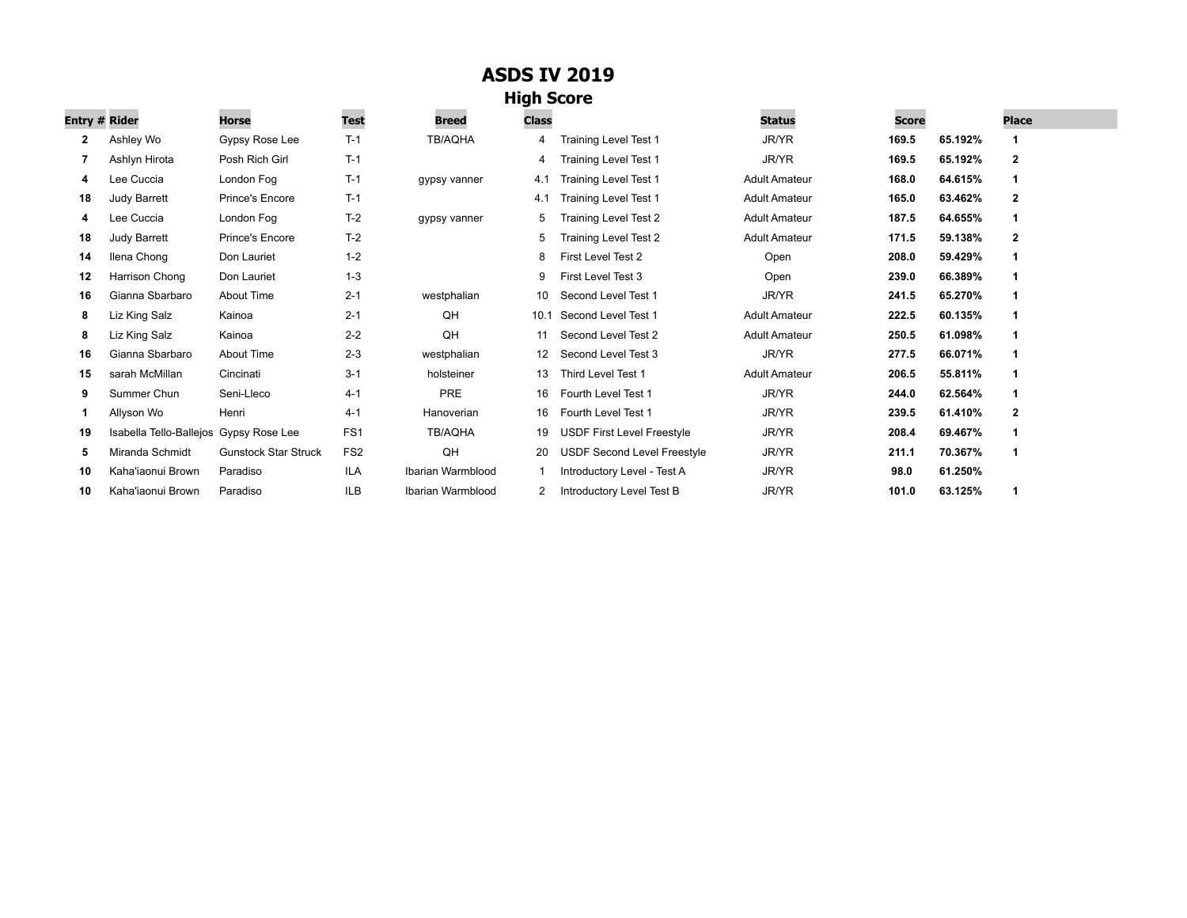## **ASDS IV 2019**

## **High Score**

| Entry # Rider |                                        | <b>Horse</b>                | Test            | Breed             | <b>Class</b>      |                                    | <b>Status</b>        | Score |         | <b>Place</b>   |
|---------------|----------------------------------------|-----------------------------|-----------------|-------------------|-------------------|------------------------------------|----------------------|-------|---------|----------------|
| 2             | Ashley Wo                              | Gypsy Rose Lee              | $T-1$           | <b>TB/AQHA</b>    | 4                 | <b>Training Level Test 1</b>       | JR/YR                | 169.5 | 65.192% |                |
|               | Ashlyn Hirota                          | Posh Rich Girl              | $T-1$           |                   | 4                 | <b>Training Level Test 1</b>       | JR/YR                | 169.5 | 65.192% | 2              |
| 4             | Lee Cuccia                             | London Fog                  | $T-1$           | gypsy vanner      | 4.1               | <b>Training Level Test 1</b>       | <b>Adult Amateur</b> | 168.0 | 64.615% |                |
| 18            | <b>Judy Barrett</b>                    | Prince's Encore             | $T-1$           |                   | 4.1               | <b>Training Level Test 1</b>       | <b>Adult Amateur</b> | 165.0 | 63.462% | $\overline{2}$ |
| 4             | Lee Cuccia                             | London Fog                  | $T-2$           | qypsy vanner      | 5                 | Training Level Test 2              | <b>Adult Amateur</b> | 187.5 | 64.655% |                |
| 18            | <b>Judy Barrett</b>                    | <b>Prince's Encore</b>      | $T-2$           |                   | 5                 | Training Level Test 2              | <b>Adult Amateur</b> | 171.5 | 59.138% | 2              |
| 14            | Ilena Chong                            | Don Lauriet                 | $1 - 2$         |                   | 8                 | First Level Test 2                 | Open                 | 208.0 | 59.429% |                |
| 12            | Harrison Chong                         | Don Lauriet                 | $1 - 3$         |                   | 9                 | First Level Test 3                 | Open                 | 239.0 | 66.389% |                |
| 16            | Gianna Sbarbaro                        | About Time                  | $2 - 1$         | westphalian       | 10                | Second Level Test 1                | JR/YR                | 241.5 | 65.270% |                |
| 8             | Liz King Salz                          | Kainoa                      | $2 - 1$         | QH                | 10.1              | Second Level Test 1                | <b>Adult Amateur</b> | 222.5 | 60.135% |                |
| 8             | Liz King Salz                          | Kainoa                      | $2 - 2$         | QH                | 11                | Second Level Test 2                | <b>Adult Amateur</b> | 250.5 | 61.098% |                |
| 16            | Gianna Sbarbaro                        | About Time                  | $2 - 3$         | westphalian       | $12 \overline{ }$ | Second Level Test 3                | JR/YR                | 277.5 | 66.071% |                |
| 15            | sarah McMillan                         | Cincinati                   | $3 - 1$         | holsteiner        | 13                | Third Level Test 1                 | <b>Adult Amateur</b> | 206.5 | 55.811% |                |
| 9             | Summer Chun                            | Seni-Lleco                  | $4 - 1$         | <b>PRE</b>        | 16                | Fourth Level Test 1                | JR/YR                | 244.0 | 62.564% |                |
| 1             | Allyson Wo                             | Henri                       | $4 - 1$         | Hanoverian        | 16                | Fourth Level Test 1                | <b>JR/YR</b>         | 239.5 | 61.410% | $\overline{2}$ |
| 19            | Isabella Tello-Ballejos Gypsy Rose Lee |                             | FS <sub>1</sub> | <b>TB/AQHA</b>    | 19                | <b>USDF First Level Freestyle</b>  | JR/YR                | 208.4 | 69.467% |                |
| 5             | Miranda Schmidt                        | <b>Gunstock Star Struck</b> | FS <sub>2</sub> | QH                | 20                | <b>USDF Second Level Freestyle</b> | JR/YR                | 211.1 | 70.367% |                |
| 10            | Kaha'iaonui Brown                      | Paradiso                    | <b>ILA</b>      | Ibarian Warmblood |                   | Introductory Level - Test A        | <b>JR/YR</b>         | 98.0  | 61.250% |                |
| 10            | Kaha'iaonui Brown                      | Paradiso                    | <b>ILB</b>      | Ibarian Warmblood |                   | Introductory Level Test B          | JR/YR                | 101.0 | 63.125% |                |